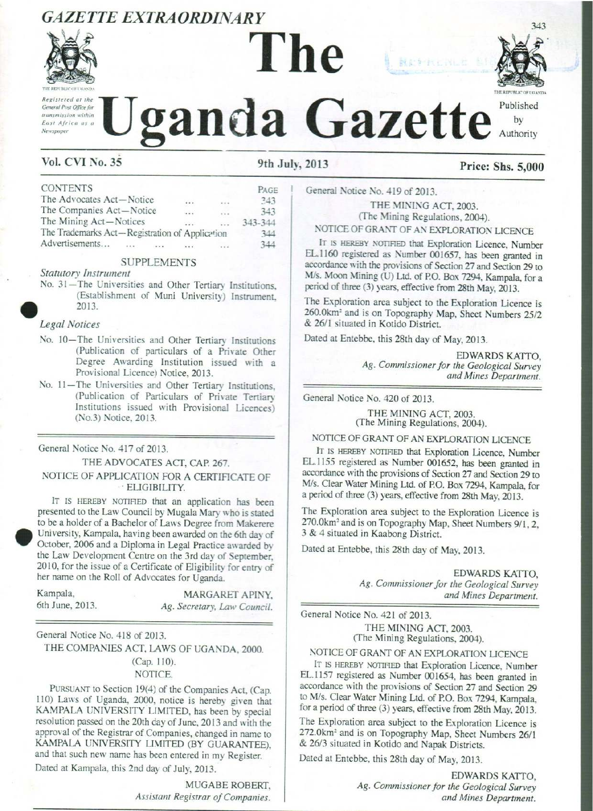# GAZETTE EXTRAORDINARY



Registered at the General Post Office for transmission within East Africa as a Contribution control case of the Canada Gazette by

# THE REPUBLIC OF UGANDA. GAZETTE EXTRAORDINARY<br>
The Liganda Gazette **CAZETTE EXTRAORDINARY**<br> **CONSTRAINS THE MANUS PROPERTY ALL PLANS CONSUMERED**<br>
VOL CVI No. 35 9th July, 2013 Price: Shs. 5,000

Published

# Vol. CVI No. 35 9th July, 2013 Price: Shs. 5,000

| <b>GAZETTE EXTRAORDINARY</b><br>THE REPUBLIC OF UGANDA<br>Registered at the<br>General Post Office for                                                                                                                                                                                                                                                                                                        |       |                                             |
|---------------------------------------------------------------------------------------------------------------------------------------------------------------------------------------------------------------------------------------------------------------------------------------------------------------------------------------------------------------------------------------------------------------|-------|---------------------------------------------|
| transmission within<br>East Africa as a<br>Newspaper<br><b>Vol. CVI No. 35</b>                                                                                                                                                                                                                                                                                                                                |       | zanda<br>9th.                               |
| <b>CONTENTS</b><br>The Advocates Act-Notice<br>The Companies Act-Notice<br>The Mining Act-Notices<br>The Trademarks Act-Registration of Application<br>Advertisements                                                                                                                                                                                                                                         | cia a | PAGE<br>243<br>343<br>343-344<br>344<br>344 |
| <b>SUPPLEMENTS</b><br><b>Statutory Instrument</b><br>No. 31-The Universities and Other Tertiary Institutions,<br>(Establishment of Muni University) Instrument,<br>2013.                                                                                                                                                                                                                                      |       |                                             |
| <b>Legal Notices</b><br>No. 10-The Universities and Other Tertiary Institutions<br>(Publication of particulars of a Private Other<br>Degree Awarding Institution issued with a<br>Provisional Licence) Notice, 2013.<br>No. 11-The Universities and Other Tertiary Institutions,<br>(Publication of Particulars of Private Tertiary<br>Institutions issued with Provisional Licences)<br>(No.3) Notice, 2013. |       |                                             |

#### SUPPLEMENTS

#### Legal Notices

- No. 10—The Universities and Other Tertiary Institutions (Publication of particulars of a Private Other Degree Awarding Institution issued with a Provisional Licence) Notice, 2013.
- No. 11—The Universities and Other Tertiary Institutions, (Publication of Particulars of Private Tertiary Institutions issued with Provisional Licences) (No.3) Notice, 2013.

#### General Notice No. 417 of 2013.

#### THE ADVOCATES ACT, CAP. 267. NOTICE OF APPLICATION FOR A CERTIFICATE OF \* ELIGIBILITY.

IT IS HEREBY NOTIFIED that an application has been presented to the Law Council by Mugala Mary who is stated to be a holder of a Bachelor of Laws Degree from Makerere University, Kampala, having been awarded onthe 6th dayof October, 2006 and a Diploma in Legal Practice awarded by the Law Development Centre on the 3rd day of September, 2010, for the issue of a Certificate of Eligibility for entry of her name on the Roll of Advocates for Uganda. **Vol. CVI No. 35**<br>
The Advocates Act—Notice<br>
The Advocates Act—Notice<br>
The Mavacates Act—Notice<br>
The Maving Act—Notice<br>
The Maving Act—Notice<br>
The Trademarks Act—Registration of Application<br>
The Trademarks Act—Registratio The Trademains Act—Registration of Application<br>
Moreliston:<br>
Moreothern SMPILEMENTS<br>
Stattedy Burettern SMPILEMENTS<br>
SMPILEMENTS<br>
SMPILEMENTS<br>
SMPILEMENTS<br>
No. 31—The Universities and Other Tertiary Institutions,<br>
(Enabli

| Kampala,        |  | MARGARET APINY,             |  |  |
|-----------------|--|-----------------------------|--|--|
| 6th June, 2013. |  | Ag. Secretary, Law Council. |  |  |

General Notice No. 418 of 2013.

THE COMPANIES ACT, LAWS OF UGANDA, 2000. (Cap. 110). NOTICE.

KAMPALA UNIVERSITY LIMITED, has been by special resolution passed on the 20th day of June, 2013 and with the approval of the Registrar of Companies, changed in name to KAMPALA UNIVERSITY LIMITED (BY GUARANTEE), PURSUANT to Section 19(4) of the Companies Act, (Cap. 110) Laws of Uganda, 2000, notice is hereby given that resolution passed on the 20th dayof June, 2013 and with the approval of the Registrar of Companies, changed in name to and that such new name has been entered in my Register.

Dated at Kampala, this 2nd day of July, 2013.

MUGABE ROBERT, Assistant Registrar of Companies.

General Notice No. 419 of 2013.

THE MINING ACT, 2003. (The Mining Regulations, 2004).

NOTICE OF GRANT OF AN EXPLORATION LICENCE

IT IS HEREBY NOTIFIED that Exploration Licence, Number EL.1160 registered as Number 001657, has been granted in accordance with the provisions of Section <sup>27</sup> and Section <sup>29</sup> to M/s. Moon Mining (U) Ltd. of PO. Box 7294, Kampala, fora period of three (3) years, effective from 28th May, 2013. **Example 18 and 19 and 19 and 19 and 19 and 19 and 19 and 19 and 19 and 19 and 19 and 19 and 19 and 19 and 19 and 19 and 19 and 19 and 19 and 19 and 19 and 19 and 19 and 19 and 19 and 19 and 19 and 19 and 19 and 19 and 19 Example 18 and 19 and 19 and 20 and 20 and 20 and 20 and 20 and 20 and 20 and 20 and 20 and 20 and 20 and 20 and 20 and 20 and 20 and 20 and 20 and 20 and 20 and 20 and 20 and 20 and 20 and 20 and 20 and 20 and 20 and 20** 2013<br>
Price: Shs. 5,00<br>
General Notice No. 419 of 2013.<br>
THE MINING ACIT, 2003.<br>
THE MINING ACIT, 2003.<br>
THE MINING REQUISIONS. 2004).<br>
NOTICE OF GRANT OF AN EXPLORATION LICENCE<br>
EL.1160 registered as Number 001657, has b **2013** Price: Shs. 5,00<br>
General Notice No. 419 of 2013.<br>
THE MINING ACT, 2003.<br>
THE MINING ACT, 2003.<br>
THE MINING ACT, 2003.<br>
NOTICE OF GRANT OF AN EXPLORATION LICENCE<br>
IT is HEREN' NOTIFIEM the ENOtion Dicence, Number I

The Exploration area subject to the Exploration Licence is 260.0km<sup>2</sup> and is on Topography Map, Sheet Numbers 25/2 & 26/1 situated in Kotido District.

Dated at Entebbe, this 28th day of May,2013.

EDWARDS KATTO, Ag. Commissioner for the Geological Survey and Mines Department.

General Notice No. 420 of 2013.

THE MINING ACT,2003. (The Mining Regulations, 2004).

NOTICE OF GRANT OF AN EXPLORATION LICENCE

IT IS HEREBY NOTIFIED that Exploration Licence, Number EL.1155 registered as Number 001652, has been granted in accordance with the provisions of Section <sup>27</sup> and Section <sup>29</sup> to M/s. Clear Water Mining Ltd. of P.O. Box 7294, Kampala, for a period of three (3) years, effective from 28th May, 2013.

The Exploration area subject to the Exploration Licence is 270.0km? and is on Topography Map, Sheet Numbers 9/1, 2, <sup>3</sup> & <sup>4</sup> situated in Kaabong District.

Dated at Entebbe, this 28th day of May, 2013.

EDWARDS KATTO, Ag. Commissioner for the Geological Survey and Mines Department.

General Notice No. 421 of 2013.

THE MINING ACT, 2003.

(The Mining Regulations, 2004).

NOTICE OF GRANT OF AN EXPLORATION LICENCE

IT IS HEREBY NOTIFIED that Exploration Licence, Number EL.1157 registered as Number 001654, has been granted in accordance with the provisions of Section <sup>27</sup> and Section <sup>29</sup> to M/s. Clear Water Mining Ltd. of P.O. Box 7294, Kampala, for a period of three (3) years, effective from 28th May, 2013.

May, 2013.<br>Licence is<br>mbers 26/1<br>S KATTO,<br>cal Survey<br>epartment. The Exploration area subject to the Exploration Licence is 272.0km<sup>2</sup> and is on Topography Map, Sheet Numbers 26/1 & 26/3 situated in Kotido and Napak Districts.

Dated at Entebbe, this 28th day of May, 2013.

EDWARDS KATTO, Ag. Commissioner for the Geological Survey and Mines Department.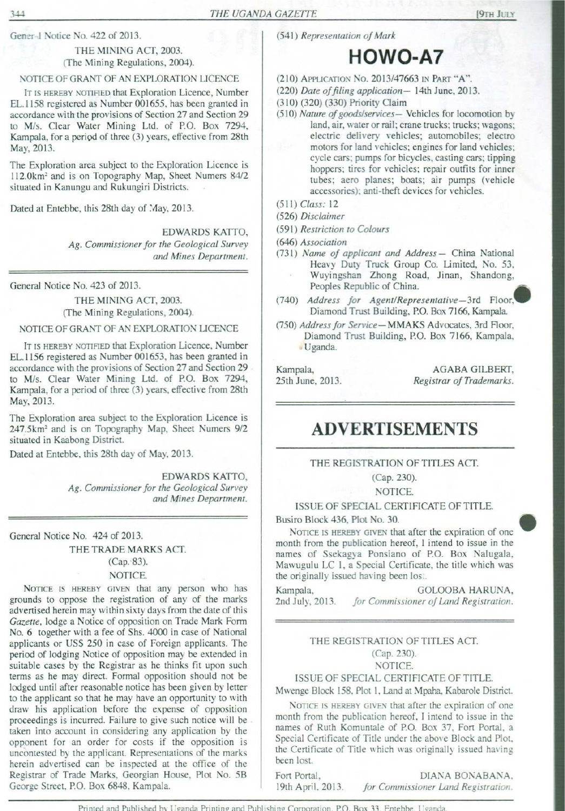Gener-1 Notice No. 422 of 2013.

#### THE MINING ACT, 2003. (The Mining Regulations, 2004).

#### NOTICE OF GRANT OF AN EXPLORATION LICENCE

IT IS HEREBY NOTIFIED that Exploration Licence, Number EL.1158 registered as Number 001655, has been granted in accordance with the provisions of Section 27 and Section 29 to M/s. Clear Water Mining Ltd. of P.O. Box 7294, Kampala, for a period of three (3) years, effective from 28th May, 2013. THE UG.<br>
THE UG.<br>
THE MINING ACT, 2003.<br>
THE MINING ACT, 2003.<br>
(The Mining Regulations, 2004).<br>
NOTICE OF GRANT OF AN EXPLORATION LICENCE<br>
IT IS HEREBY NOTIFIED that Exploration Licence, Number<br>
EL.1158 registered as Num THE UG.<br>
THE UG.<br>
THE MINING ACT, 2003.<br>
THE MINING ACT, 2003.<br>
(The Mining Regulations, 2004).<br>
NOTICE OF GRANT OF AN EXPLORATION LICENCE<br>
IT IS HEREBY NOTIFIED that Exploration Licence, Number<br>
EL.1158 registered as Num THE MINING ACT, 2003.<br>
THE MINING ACT, 2003.<br>
NOTICE OF GRAIT OF AN EXPLORATION LICENCE<br>
IT IS HEREN' NOTICE OF GRAIT OF AN EXPLORATION LICENCE.<br>
IT IS HEREN' NOTIFIED that Exploration Licence, Number 001655, has been gra THE MINING ACT, 2003.<br>
THE MINING ACT, 2003.<br>
NOTICE OF GRANT OF AN EXPLORATION LICENCE<br>
IT IS HEREBY NOTIFED that Exploration Licence, Number<br>
EL.1158 registered as Number 001655, has been granted increases with the prov

The Exploration area subject to the Exploration Licence is 112.0km? and is on Topography Map, Sheet Numers 84/2 situated in Kanungu and Rukungiri Districts.

Dated at Entebbe, this 28th day of May, 2013.

EDWARDS KATTO, Ag. Commissioner for the Geological Survey and Mines Department.

General Notice No. 423 of 2013.

THE MINING ACT, 2003. (The Mining Regulations, 2004).

#### NOTICE OF GRANT OF AN EXPLORATION LICENCE

IT IS HEREBY NOTIFIED that Exploration Licence, Number EL.1156 registered as Number 001653, has been granted in accordance with the provisions of Section 27 and Section 29 to M/s. Clear Water Mining Ltd. of P.O. Box 7294, Kampala, for a period of three (3) years, effective from 28th May, 2013.

The Exploration area subject to the Exploration Licence is 247.5km? and is on Topography Map, Sheet Numers 9/2 situated in Kaabong District.

Dated at Entebbe, this 28th day of May, 2013.

EDWARDS KATTO, Ag. Commissioner for the Geological Survey and Mines Department.

General Notice No. 424 of 2013.

THE TRADE MARKS ACT.

(Cap.°83).

#### NOTICE.

NOTICE IS HEREBY GIVEN that any person who has grounds to oppose the registration of any of the marks advertised herein may within sixty days from the date of this Gazette, lodge a Notice of opposition on Trade Mark Form No. 6 together with a fee of Shs. 4000 in case of National applicants or US\$ 250 in case of Foreign applicants. The period of lodging Notice of opposition may be extended in suitable cases by the Registrar as he thinks fit upon such terms as he maydirect. Formal opposition should not be lodged until after reasonable notice has been given by letter to the applicant so that he may have an opportunity to with draw his application before the expense of opposition proceedings is incurred. Failure to give such notice will be . taken into account in considering any application by the opponent for an order for costs if the opposition is uncontested by the applicant. Representations of the marks herein advertised can be inspected at the office of the Registrar of Trade Marks, Georgian House, Plot No. 5B George Street, P.O. Box 6848, Kampala. 361<br>
Crise Vac Car of 2013. The Universal of Mark Decembent of Mark Decembent of Mark Decembent of Active Car of Car of the Car of Car of Car of Car of Car of Car of Car of Car of Car of Car of Car of Car of Car of Car of

(541) Representation of Mark

- (210) APPLICATION No. 2013/47663 IN ParT "A".
- (220) Date of filing application-14th June, 2013.
- (310) (320) (330) Priority Claim
- (510) Nature of goods/services— Vehicles for locomotion by land, air, water or rail; crane trucks; trucks; wagons; electric delivery vehicles; automobiles; electro motors for land vehicles; engines for land vehicles; cycle cars; pumps for bicycles, casting cars; tipping hoppers; tires for vehicles; repair outfits for inner tubes; aero planes; boats; air pumps (vehicle accessories): anti-theft devices for vehicles.  $\begin{tabular}{l|ll} \hline \textbf{GAZETTE} & \textbf{[9TH JULX} \\ \hline \textbf{GAZETTE} & \textbf{[9TH JULX} \\ \hline \textbf{(541) Representation of Mark} & \textbf{HOWO-AT} \\ \hline \textbf{(220) Date of filing application} & \texttt{14th June, 2013.} \\ \hline \textbf{(310) (320) (330) Priority Claim} \\ \hline \textbf{(510) Nature of goods/Service.} & \texttt{Pchicles for locomotion by land, air, water or rail: create trueks; trucks; wages; outcomes: electrons for land vehicles; enismes for land vehicles; cycles, custine, twoness for values; regions$ CALCITIE (97H JULY (541) Representation of Mark (97H JULY (541) Representation of Mark (220) Date of filing application – 14th June, 2013.<br>
(220) Date of filing application – 14th June, 2013.<br>
(310) (320) (330) Priority C CAZETTE **Sample CALCE SET ACTES (SAMPLE ACTE ACTES)**<br>
(541) Representation of Mark<br>
(710) APPLICATION NO. 2013/47663 IN PART "A".<br>
(220) Date of filing application – 14th June, 2013.<br>
(310) (320) (330) Priority Claim – 14

HOWO-A7

- (511) Class: 12
- (526) Disclaimer
- (591) Restriction to Colours
- (646) Association
- (731) Name of applicant and Address China National Heavy Duty Truck Group Co. Limited, No. 53, Wuyingshan Zhong Road, Jinan, Shandong, Heavy Duty Truck Group Co. Limited, No. 53,<br>Wuyingshan Zhong Road, Jinan, Shandong,<br>Peoples Republic of China.
- (740) Address for Agent/Representative—3rd\_ Floor, Diamond Trust Building, P.O. Box 7166, Kampala.
- (750) Address for Service-MMAKS Advocates, 3rd Floor, Diamond Trust Building, P.O. Box 7166, Kampala, » Uganda.

Kampala, AGABA GILBERT, 25th June, 2013. Registrar of Trademarks.

# ADVERTISEMENTS

#### THE REGISTRATION OF TITLES ACT.

(Cap. 230).

NOTICE.

ISSUE OF SPECIAL CERTIFICATE OF TITLE.

Busiro Block 436, Plot No. 30.

NOTICE IS HEREBY GIVEN that after the expiration of one month from the publication hereof, I intend to issue in the names of Ssekagya Ponsiano of P.O. Box Nalugala, Mawugulu LC 1, <sup>a</sup> Special Certificate, the title which was the originally issued having been lost. motors for land vehicles; engines for land vehicles;<br>
cycle cars; pumps for bicycles, easting cars; tipping<br>
hoppers; tires for vehicles; repair outfits for inner<br>
tubes; area planes; boats; air pumps (vehicle<br>
(511) *Claa* motors for a and ventices; engines for analytical<br>cycle cars; pumps for bitsplese, scating cars; tipping<br>hoppers; ties for vehicles, reach truths for inner<br>three times; reach ventices; reach transferse transferse<br>(520 *Dis* 

GOLOOBA HARUNA, for Commissioner of Land Registration. Kampala, 2nd July, 2013.

#### THE REGISTRATION OF TITLES ACT. (Cap. 230). NOTICE.

ISSUE OF SPECIAL CERTIFICATE OF TITLE.

Mwenge Block 158, Plot 1, Land at Mpaha, Kabarole District.

NOTICE IS HEREBY GIVEN that after the expiration of one month from the publication hereof, <sup>I</sup> intend to issue in the names of Ruth Komuntale of P.O. Box 37, Fort Portal, a Special Certificate of Title under the above Block and Plot, the Certificate of Title which was originally issued having been lost.

19th April, 2013. for Commissioner Land Registration. Fort Portal, 19th April, 2013. DIANA BONABANA,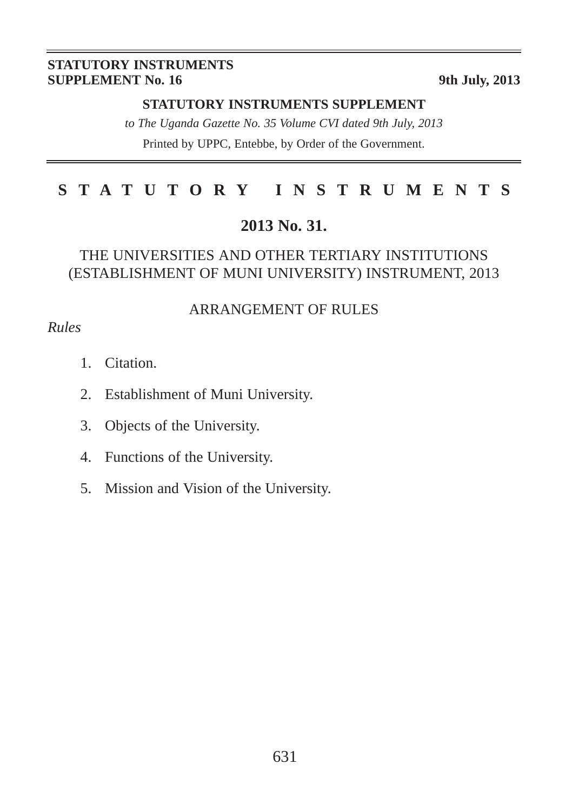#### **STATUTORY INSTRUMENTS SUPPLEMENT No. 16** 9th July, 2013

#### **STATUTORY INSTRUMENTS SUPPLEMENT**

*to The Uganda Gazette No. 35 Volume CVI dated 9th July, 2013* Printed by UPPC, Entebbe, by Order of the Government.

# **STATUTORY INSTRUMENTS**

#### **2013 No. 31.**

#### THE UNIVERSITIES AND OTHER TERTIARY INSTITUTIONS (ESTABLISHMENT OF MUNI UNIVERSITY) INSTRUMENT, 2013

#### ARRANGEMENT OF RULES

#### *Rules*

- 1. Citation.
- 2. Establishment of Muni University.
- 3. Objects of the University.
- 4. Functions of the University.
- 5. Mission and Vision of the University.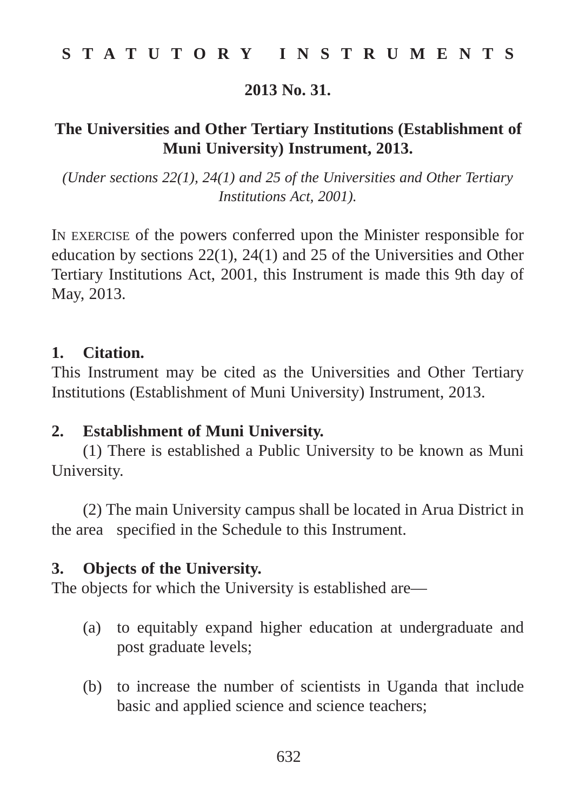### **2013 No. 31.**

# **The Universities and Other Tertiary Institutions (Establishment of Muni University) Instrument, 2013.**

*(Under sections 22(1), 24(1) and 25 of the Universities and Other Tertiary Institutions Act, 2001).* 

IN EXERCISE of the powers conferred upon the Minister responsible for education by sections 22(1), 24(1) and 25 of the Universities and Other Tertiary Institutions Act, 2001, this Instrument is made this 9th day of May, 2013.

#### **1. Citation.**

This Instrument may be cited as the Universities and Other Tertiary Institutions (Establishment of Muni University) Instrument, 2013.

# **2. Establishment of Muni University.**

(1) There is established a Public University to be known as Muni University.

(2) The main University campus shall be located in Arua District in the area specified in the Schedule to this Instrument.

# **3. Objects of the University.**

The objects for which the University is established are—

- (a) to equitably expand higher education at undergraduate and post graduate levels;
- (b) to increase the number of scientists in Uganda that include basic and applied science and science teachers;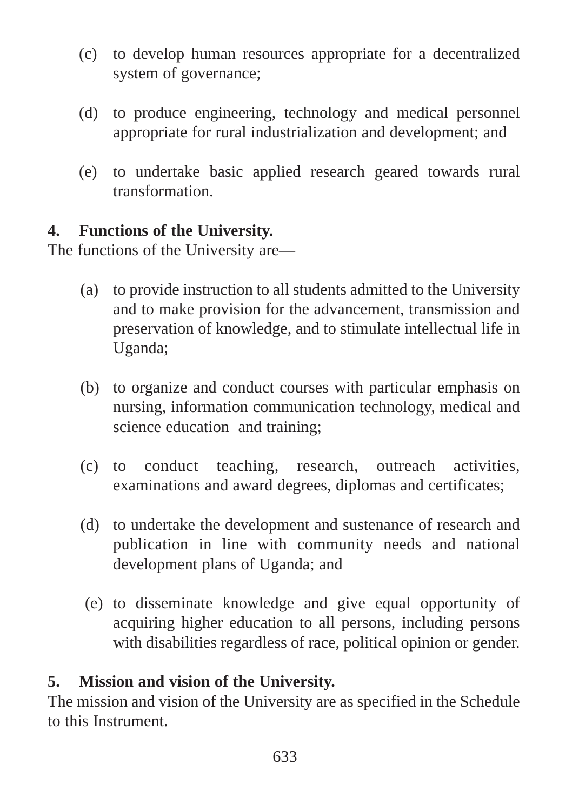- (c) to develop human resources appropriate for a decentralized system of governance;
- (d) to produce engineering, technology and medical personnel appropriate for rural industrialization and development; and
- (e) to undertake basic applied research geared towards rural transformation.

# **4. Functions of the University.**

The functions of the University are—

- (a) to provide instruction to all students admitted to the University and to make provision for the advancement, transmission and preservation of knowledge, and to stimulate intellectual life in Uganda;
- (b) to organize and conduct courses with particular emphasis on nursing, information communication technology, medical and science education and training;
- (c) to conduct teaching, research, outreach activities, examinations and award degrees, diplomas and certificates;
- (d) to undertake the development and sustenance of research and publication in line with community needs and national development plans of Uganda; and
- (e) to disseminate knowledge and give equal opportunity of acquiring higher education to all persons, including persons with disabilities regardless of race, political opinion or gender.

# **5. Mission and vision of the University.**

The mission and vision of the University are as specified in the Schedule to this Instrument.